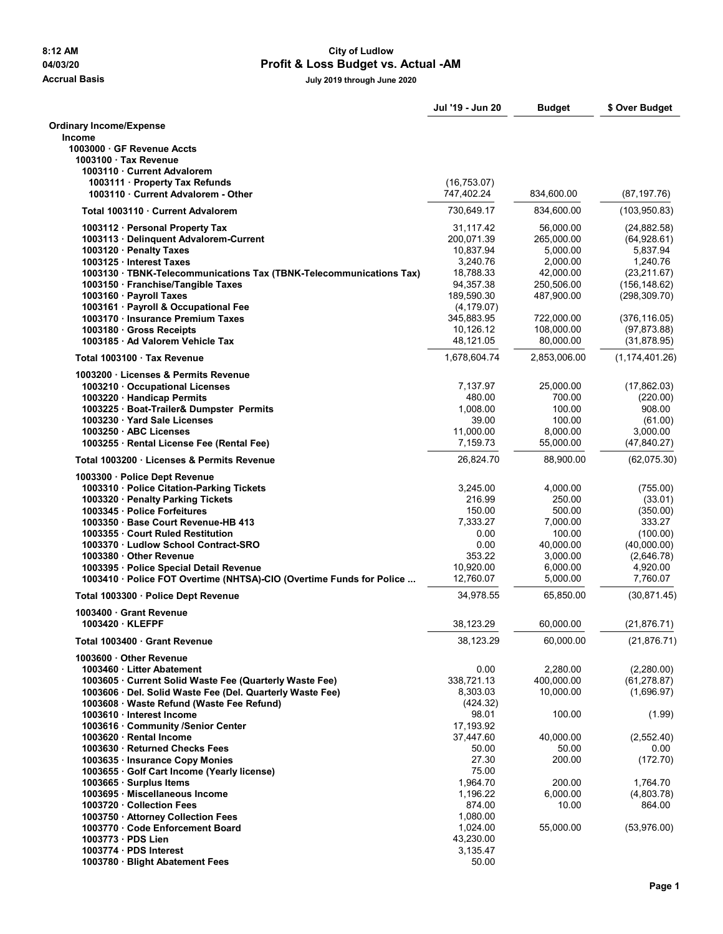## **8:12 AM City of Ludlow 04/03/20 Profit & Loss Budget vs. Actual -AM**

**Accrual Basis July 2019 through June 2020**

|                                                                                                           | Jul '19 - Jun 20       | <b>Budget</b>           | \$ Over Budget                |
|-----------------------------------------------------------------------------------------------------------|------------------------|-------------------------|-------------------------------|
| <b>Ordinary Income/Expense</b>                                                                            |                        |                         |                               |
| <b>Income</b>                                                                                             |                        |                         |                               |
| 1003000 GF Revenue Accts<br>1003100 Tax Revenue                                                           |                        |                         |                               |
| 1003110 Current Advalorem                                                                                 |                        |                         |                               |
| 1003111 Property Tax Refunds                                                                              | (16, 753.07)           |                         |                               |
| 1003110 Current Advalorem - Other                                                                         | 747,402.24             | 834,600.00              | (87, 197.76)                  |
| Total 1003110 · Current Advalorem                                                                         | 730,649.17             | 834,600.00              | (103, 950.83)                 |
| 1003112 · Personal Property Tax                                                                           | 31,117.42              | 56,000.00               | (24, 882.58)                  |
| 1003113 · Delinquent Advalorem-Current                                                                    | 200.071.39             | 265,000.00              | (64,928.61)                   |
| 1003120 Penalty Taxes                                                                                     | 10,837.94              | 5,000.00                | 5,837.94                      |
| 1003125 · Interest Taxes                                                                                  | 3,240.76               | 2,000.00                | 1,240.76                      |
| 1003130 · TBNK-Telecommunications Tax (TBNK-Telecommunications Tax)<br>1003150 · Franchise/Tangible Taxes | 18,788.33<br>94,357.38 | 42,000.00<br>250,506.00 | (23, 211.67)<br>(156, 148.62) |
| 1003160 · Payroll Taxes                                                                                   | 189,590.30             | 487,900.00              | (298, 309.70)                 |
| 1003161 · Payroll & Occupational Fee                                                                      | (4, 179.07)            |                         |                               |
| 1003170 · Insurance Premium Taxes                                                                         | 345,883.95             | 722,000.00              | (376, 116.05)                 |
| 1003180 · Gross Receipts                                                                                  | 10,126.12              | 108,000.00              | (97, 873.88)                  |
| 1003185 · Ad Valorem Vehicle Tax                                                                          | 48,121.05              | 80,000.00               | (31, 878.95)                  |
| Total 1003100 Tax Revenue                                                                                 | 1,678,604.74           | 2,853,006.00            | (1, 174, 401.26)              |
| 1003200 · Licenses & Permits Revenue                                                                      | 7,137.97               |                         |                               |
| 1003210 · Occupational Licenses<br>1003220 · Handicap Permits                                             | 480.00                 | 25,000.00<br>700.00     | (17,862.03)<br>(220.00)       |
| 1003225 · Boat-Trailer& Dumpster Permits                                                                  | 1,008.00               | 100.00                  | 908.00                        |
| 1003230 Yard Sale Licenses                                                                                | 39.00                  | 100.00                  | (61.00)                       |
| 1003250 ABC Licenses                                                                                      | 11,000.00              | 8,000.00                | 3,000.00                      |
| 1003255 · Rental License Fee (Rental Fee)                                                                 | 7,159.73               | 55,000.00               | (47, 840.27)                  |
| Total 1003200 · Licenses & Permits Revenue                                                                | 26,824.70              | 88,900.00               | (62,075.30)                   |
| 1003300 · Police Dept Revenue                                                                             |                        |                         |                               |
| 1003310 · Police Citation-Parking Tickets<br>1003320 · Penalty Parking Tickets                            | 3,245.00<br>216.99     | 4,000.00<br>250.00      | (755.00)<br>(33.01)           |
| 1003345 Police Forfeitures                                                                                | 150.00                 | 500.00                  | (350.00)                      |
| 1003350 Base Court Revenue-HB 413                                                                         | 7,333.27               | 7,000.00                | 333.27                        |
| 1003355 Court Ruled Restitution                                                                           | 0.00                   | 100.00                  | (100.00)                      |
| 1003370 Ludlow School Contract-SRO                                                                        | 0.00                   | 40,000.00               | (40,000.00)                   |
| 1003380 Other Revenue<br>1003395 · Police Special Detail Revenue                                          | 353.22<br>10,920.00    | 3,000.00<br>6,000.00    | (2,646.78)<br>4,920.00        |
| 1003410 · Police FOT Overtime (NHTSA)-CIO (Overtime Funds for Police                                      | 12,760.07              | 5,000.00                | 7,760.07                      |
| Total 1003300 · Police Dept Revenue                                                                       | 34,978.55              | 65.850.00               | (30, 871.45)                  |
| 1003400 Grant Revenue                                                                                     |                        |                         |                               |
| 1003420 KLEFPF                                                                                            | 38,123.29              | 60,000.00               | (21, 876.71)                  |
| Total 1003400 Grant Revenue                                                                               | 38,123.29              | 60,000.00               | (21, 876.71)                  |
| 1003600 Other Revenue                                                                                     |                        |                         |                               |
| 1003460 Litter Abatement<br>1003605 Current Solid Waste Fee (Quarterly Waste Fee)                         | 0.00<br>338,721.13     | 2,280.00<br>400,000.00  | (2,280.00)<br>(61, 278.87)    |
| 1003606 · Del. Solid Waste Fee (Del. Quarterly Waste Fee)                                                 | 8,303.03               | 10,000.00               | (1,696.97)                    |
| 1003608 · Waste Refund (Waste Fee Refund)                                                                 | (424.32)               |                         |                               |
| 1003610 Interest Income                                                                                   | 98.01                  | 100.00                  | (1.99)                        |
| 1003616 Community /Senior Center                                                                          | 17,193.92              |                         |                               |
| 1003620 · Rental Income<br>1003630 Returned Checks Fees                                                   | 37,447.60<br>50.00     | 40,000.00<br>50.00      | (2,552.40)<br>0.00            |
| 1003635 · Insurance Copy Monies                                                                           | 27.30                  | 200.00                  | (172.70)                      |
| 1003655 · Golf Cart Income (Yearly license)                                                               | 75.00                  |                         |                               |
| 1003665 · Surplus Items                                                                                   | 1,964.70               | 200.00                  | 1,764.70                      |
| 1003695 · Miscellaneous Income                                                                            | 1,196.22               | 6,000.00                | (4,803.78)                    |
| 1003720 Collection Fees                                                                                   | 874.00                 | 10.00                   | 864.00                        |
| 1003750 · Attorney Collection Fees<br>1003770 Code Enforcement Board                                      | 1,080.00<br>1,024.00   | 55,000.00               | (53,976.00)                   |
| 1003773 · PDS Lien                                                                                        | 43,230.00              |                         |                               |
| 1003774 - PDS Interest                                                                                    | 3,135.47               |                         |                               |
| 1003780 · Blight Abatement Fees                                                                           | 50.00                  |                         |                               |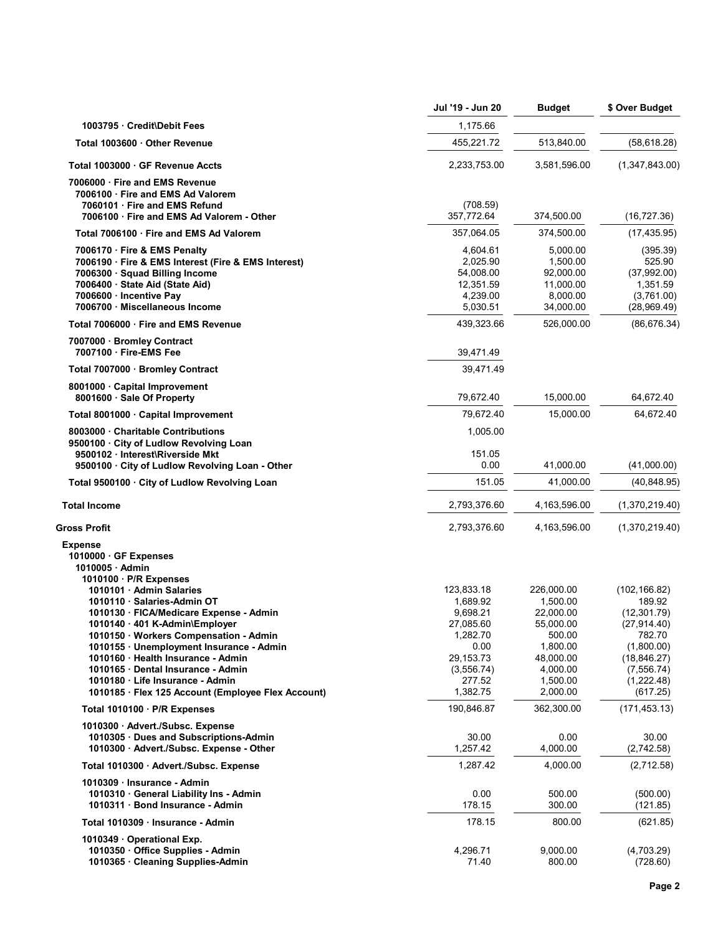|                                                                                                                                                                                                                                                                                                                                                                                                                                                                                  | Jul '19 - Jun 20                                                                                                       | <b>Budget</b>                                                                                                           | \$ Over Budget                                                                                                                          |
|----------------------------------------------------------------------------------------------------------------------------------------------------------------------------------------------------------------------------------------------------------------------------------------------------------------------------------------------------------------------------------------------------------------------------------------------------------------------------------|------------------------------------------------------------------------------------------------------------------------|-------------------------------------------------------------------------------------------------------------------------|-----------------------------------------------------------------------------------------------------------------------------------------|
| 1003795 Credit\Debit Fees                                                                                                                                                                                                                                                                                                                                                                                                                                                        | 1,175.66                                                                                                               |                                                                                                                         |                                                                                                                                         |
| Total 1003600 Other Revenue                                                                                                                                                                                                                                                                                                                                                                                                                                                      | 455,221.72                                                                                                             | 513,840.00                                                                                                              | (58, 618.28)                                                                                                                            |
| Total 1003000 GF Revenue Accts                                                                                                                                                                                                                                                                                                                                                                                                                                                   | 2,233,753.00                                                                                                           | 3,581,596.00                                                                                                            | (1,347,843.00)                                                                                                                          |
| 7006000 Fire and EMS Revenue<br>7006100 Fire and EMS Ad Valorem<br>7060101 Fire and EMS Refund<br>7006100 · Fire and EMS Ad Valorem - Other                                                                                                                                                                                                                                                                                                                                      | (708.59)<br>357,772.64                                                                                                 | 374,500.00                                                                                                              | (16, 727.36)                                                                                                                            |
| Total 7006100 Fire and EMS Ad Valorem                                                                                                                                                                                                                                                                                                                                                                                                                                            | 357,064.05                                                                                                             | 374,500.00                                                                                                              | (17, 435.95)                                                                                                                            |
| 7006170 · Fire & EMS Penalty<br>7006190 · Fire & EMS Interest (Fire & EMS Interest)<br>7006300 · Squad Billing Income<br>7006400 · State Aid (State Aid)<br>7006600 · Incentive Pay<br>7006700 · Miscellaneous Income                                                                                                                                                                                                                                                            | 4,604.61<br>2,025.90<br>54,008.00<br>12,351.59<br>4,239.00<br>5,030.51                                                 | 5,000.00<br>1,500.00<br>92,000.00<br>11,000.00<br>8,000.00<br>34,000.00                                                 | (395.39)<br>525.90<br>(37,992.00)<br>1,351.59<br>(3,761.00)<br>(28,969.49)                                                              |
| Total 7006000 Fire and EMS Revenue                                                                                                                                                                                                                                                                                                                                                                                                                                               | 439,323.66                                                                                                             | 526,000.00                                                                                                              | (86, 676.34)                                                                                                                            |
| 7007000 · Bromley Contract<br>7007100 Fire-EMS Fee                                                                                                                                                                                                                                                                                                                                                                                                                               | 39,471.49                                                                                                              |                                                                                                                         |                                                                                                                                         |
| Total 7007000 · Bromley Contract                                                                                                                                                                                                                                                                                                                                                                                                                                                 | 39.471.49                                                                                                              |                                                                                                                         |                                                                                                                                         |
| 8001000 Capital Improvement<br>8001600 · Sale Of Property                                                                                                                                                                                                                                                                                                                                                                                                                        | 79,672.40                                                                                                              | 15,000.00                                                                                                               | 64,672.40                                                                                                                               |
| Total 8001000 · Capital Improvement                                                                                                                                                                                                                                                                                                                                                                                                                                              | 79,672.40                                                                                                              | 15,000.00                                                                                                               | 64,672.40                                                                                                                               |
| 8003000 Charitable Contributions<br>9500100 · City of Ludlow Revolving Loan<br>9500102 · Interest\Riverside Mkt                                                                                                                                                                                                                                                                                                                                                                  | 1,005.00                                                                                                               |                                                                                                                         |                                                                                                                                         |
| 9500100 · City of Ludlow Revolving Loan - Other                                                                                                                                                                                                                                                                                                                                                                                                                                  | 151.05<br>0.00                                                                                                         | 41,000.00                                                                                                               | (41,000.00)                                                                                                                             |
| Total 9500100 · City of Ludlow Revolving Loan                                                                                                                                                                                                                                                                                                                                                                                                                                    | 151.05                                                                                                                 | 41,000.00                                                                                                               | (40, 848.95)                                                                                                                            |
| <b>Total Income</b>                                                                                                                                                                                                                                                                                                                                                                                                                                                              | 2,793,376.60                                                                                                           | 4,163,596.00                                                                                                            | (1,370,219.40)                                                                                                                          |
| Gross Profit                                                                                                                                                                                                                                                                                                                                                                                                                                                                     | 2,793,376.60                                                                                                           | 4,163,596.00                                                                                                            | (1,370,219.40)                                                                                                                          |
| <b>Expense</b><br>1010000 GF Expenses<br>1010005 Admin<br>1010100 · P/R Expenses<br>1010101 · Admin Salaries<br>1010110 · Salaries-Admin OT<br>1010130 · FICA/Medicare Expense - Admin<br>1010140 · 401 K-Admin\Employer<br>1010150 · Workers Compensation - Admin<br>1010155 · Unemployment Insurance - Admin<br>1010160 · Health Insurance - Admin<br>1010165 Dental Insurance - Admin<br>1010180 Life Insurance - Admin<br>1010185 · Flex 125 Account (Employee Flex Account) | 123,833.18<br>1,689.92<br>9,698.21<br>27,085.60<br>1,282.70<br>0.00<br>29, 153. 73<br>(3,556.74)<br>277.52<br>1,382.75 | 226,000.00<br>1,500.00<br>22,000.00<br>55,000.00<br>500.00<br>1.800.00<br>48,000.00<br>4,000.00<br>1,500.00<br>2,000.00 | (102, 166.82)<br>189.92<br>(12, 301.79)<br>(27, 914.40)<br>782.70<br>(1,800.00)<br>(18, 846.27)<br>(7,556.74)<br>(1,222.48)<br>(617.25) |
| Total 1010100 · P/R Expenses                                                                                                                                                                                                                                                                                                                                                                                                                                                     | 190,846.87                                                                                                             | 362,300.00                                                                                                              | (171, 453.13)                                                                                                                           |
| 1010300 Advert/Subsc. Expense<br>1010305 Dues and Subscriptions-Admin<br>1010300 Advert./Subsc. Expense - Other                                                                                                                                                                                                                                                                                                                                                                  | 30.00<br>1,257.42                                                                                                      | 0.00<br>4,000.00                                                                                                        | 30.00<br>(2,742.58)                                                                                                                     |
| Total 1010300 · Advert./Subsc. Expense                                                                                                                                                                                                                                                                                                                                                                                                                                           | 1,287.42                                                                                                               | 4,000.00                                                                                                                | (2,712.58)                                                                                                                              |
| 1010309 · Insurance - Admin<br>1010310 General Liability Ins - Admin<br>1010311 Bond Insurance - Admin                                                                                                                                                                                                                                                                                                                                                                           | 0.00<br>178.15                                                                                                         | 500.00<br>300.00                                                                                                        | (500.00)<br>(121.85)                                                                                                                    |
| Total 1010309 · Insurance - Admin                                                                                                                                                                                                                                                                                                                                                                                                                                                | 178.15                                                                                                                 | 800.00                                                                                                                  | (621.85)                                                                                                                                |
| 1010349 Operational Exp.<br>1010350 Office Supplies - Admin<br>1010365 Cleaning Supplies-Admin                                                                                                                                                                                                                                                                                                                                                                                   | 4,296.71<br>71.40                                                                                                      | 9,000.00<br>800.00                                                                                                      | (4,703.29)<br>(728.60)                                                                                                                  |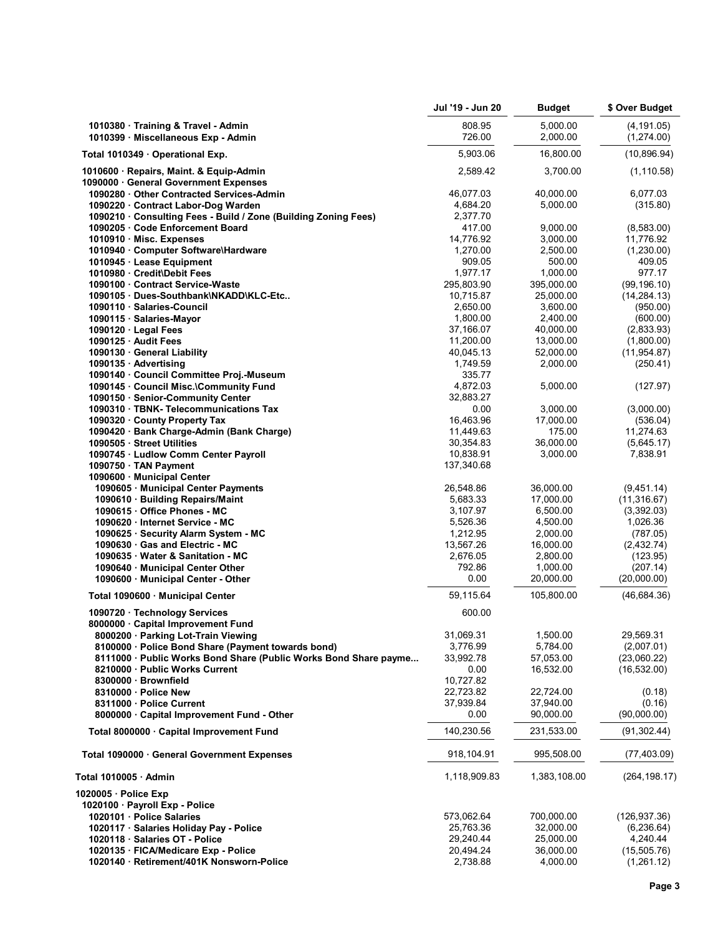|                                                                                                    | Jul '19 - Jun 20        | Budget                 | \$ Over Budget              |
|----------------------------------------------------------------------------------------------------|-------------------------|------------------------|-----------------------------|
| 1010380 · Training & Travel - Admin<br>1010399 · Miscellaneous Exp - Admin                         | 808.95<br>726.00        | 5,000.00<br>2,000.00   | (4, 191.05)<br>(1,274.00)   |
| Total 1010349 · Operational Exp.                                                                   | 5,903.06                | 16,800.00              | (10, 896.94)                |
| 1010600 · Repairs, Maint. & Equip-Admin<br>1090000 General Government Expenses                     | 2,589.42                | 3,700.00               | (1, 110.58)                 |
| 1090280 Other Contracted Services-Admin                                                            | 46,077.03               | 40,000.00              | 6,077.03                    |
| 1090220 · Contract Labor-Dog Warden                                                                | 4,684.20                | 5,000.00               | (315.80)                    |
| 1090210 Consulting Fees - Build / Zone (Building Zoning Fees)                                      | 2,377.70                |                        |                             |
| 1090205 Code Enforcement Board                                                                     | 417.00<br>14,776.92     | 9.000.00<br>3,000.00   | (8,583.00)<br>11,776.92     |
| 1010910 · Misc. Expenses<br>1010940 · Computer Software\Hardware                                   | 1,270.00                | 2,500.00               | (1,230.00)                  |
| 1010945 · Lease Equipment                                                                          | 909.05                  | 500.00                 | 409.05                      |
| 1010980 Credit\Debit Fees                                                                          | 1,977.17                | 1,000.00               | 977.17                      |
| 1090100 Contract Service-Waste                                                                     | 295,803.90              | 395,000.00             | (99, 196.10)                |
| 1090105 Dues-Southbank\NKADD\KLC-Etc                                                               | 10,715.87               | 25,000.00              | (14, 284.13)                |
| 1090110 · Salaries-Council                                                                         | 2,650.00                | 3,600.00               | (950.00)                    |
| 1090115 · Salaries-Mayor                                                                           | 1,800.00                | 2,400.00               | (600.00)                    |
| 1090120 Legal Fees<br>1090125 Audit Fees                                                           | 37,166.07<br>11,200.00  | 40,000.00              | (2,833.93)<br>(1,800.00)    |
| 1090130 General Liability                                                                          | 40,045.13               | 13,000.00<br>52,000.00 | (11, 954.87)                |
| 1090135 Advertising                                                                                | 1.749.59                | 2,000.00               | (250.41)                    |
| 1090140 · Council Committee Proj.-Museum                                                           | 335.77                  |                        |                             |
| 1090145 Council Misc.\Community Fund                                                               | 4,872.03                | 5,000.00               | (127.97)                    |
| 1090150 · Senior-Community Center                                                                  | 32.883.27               |                        |                             |
| 1090310 · TBNK- Telecommunications Tax                                                             | 0.00                    | 3,000.00               | (3,000.00)                  |
| 1090320 County Property Tax                                                                        | 16,463.96               | 17,000.00              | (536.04)                    |
| 1090420 · Bank Charge-Admin (Bank Charge)                                                          | 11,449.63               | 175.00                 | 11,274.63                   |
| 1090505 Street Utilities                                                                           | 30,354.83               | 36,000.00              | (5,645.17)                  |
| 1090745 · Ludlow Comm Center Payroll<br>1090750 · TAN Payment                                      | 10,838.91<br>137,340.68 | 3,000.00               | 7,838.91                    |
| 1090600 Municipal Center                                                                           |                         |                        |                             |
| 1090605 · Municipal Center Payments                                                                | 26,548.86               | 36,000.00              | (9,451.14)                  |
| 1090610 · Building Repairs/Maint                                                                   | 5,683.33                | 17,000.00              | (11, 316.67)                |
| 1090615 · Office Phones - MC                                                                       | 3,107.97                | 6,500.00               | (3,392.03)                  |
| 1090620 · Internet Service - MC                                                                    | 5,526.36                | 4,500.00               | 1,026.36                    |
| 1090625 · Security Alarm System - MC                                                               | 1,212.95                | 2,000.00               | (787.05)                    |
| 1090630 Gas and Electric - MC                                                                      | 13,567.26               | 16,000.00              | (2,432.74)                  |
| 1090635 · Water & Sanitation - MC<br>1090640 · Municipal Center Other                              | 2,676.05<br>792.86      | 2,800.00<br>1,000.00   | (123.95)<br>(207.14)        |
| 1090600 · Municipal Center - Other                                                                 | 0.00                    | 20,000.00              | (20,000.00)                 |
| Total 1090600 · Municipal Center                                                                   | 59,115.64               | 105,800.00             | (46,684.36)                 |
| 1090720 · Technology Services                                                                      | 600.00                  |                        |                             |
| 8000000 · Capital Improvement Fund                                                                 |                         |                        |                             |
| 8000200 · Parking Lot-Train Viewing                                                                | 31,069.31               | 1,500.00               | 29,569.31                   |
| 8100000 · Police Bond Share (Payment towards bond)                                                 | 3,776.99                | 5,784.00               | (2,007.01)                  |
| 8111000 · Public Works Bond Share (Public Works Bond Share payme<br>8210000 · Public Works Current | 33,992.78<br>0.00       | 57,053.00<br>16,532.00 | (23,060.22)<br>(16, 532.00) |
| 8300000 Brownfield                                                                                 | 10,727.82               |                        |                             |
| 8310000 · Police New                                                                               | 22,723.82               | 22,724.00              | (0.18)                      |
| 8311000 · Police Current                                                                           | 37,939.84               | 37,940.00              | (0.16)                      |
| 8000000 · Capital Improvement Fund - Other                                                         | 0.00                    | 90,000.00              | (90,000.00)                 |
| Total 8000000 · Capital Improvement Fund                                                           | 140,230.56              | 231,533.00             | (91, 302.44)                |
| Total 1090000 · General Government Expenses                                                        | 918, 104.91             | 995,508.00             | (77, 403.09)                |
| Total 1010005 · Admin                                                                              | 1,118,909.83            | 1,383,108.00           | (264, 198.17)               |
| 1020005 · Police Exp                                                                               |                         |                        |                             |
| 1020100 · Payroll Exp - Police                                                                     |                         |                        |                             |
| 1020101 · Police Salaries                                                                          | 573,062.64              | 700,000.00             | (126, 937.36)               |
| 1020117 · Salaries Holiday Pay - Police                                                            | 25,763.36               | 32,000.00              | (6, 236.64)                 |
| 1020118 · Salaries OT - Police                                                                     | 29,240.44               | 25,000.00              | 4,240.44                    |
| 1020135 · FICA/Medicare Exp - Police<br>1020140 · Retirement/401K Nonsworn-Police                  | 20,494.24<br>2,738.88   | 36,000.00<br>4,000.00  | (15,505.76)<br>(1,261.12)   |
|                                                                                                    |                         |                        |                             |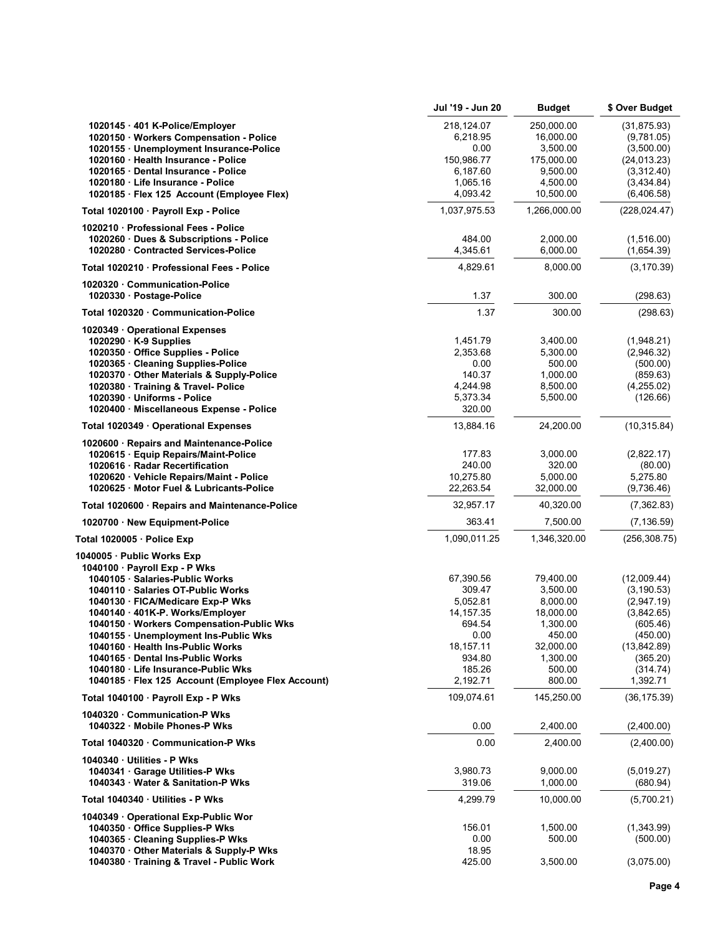|                                                                                    | Jul '19 - Jun 20         | <b>Budget</b>             | \$ Over Budget              |
|------------------------------------------------------------------------------------|--------------------------|---------------------------|-----------------------------|
| 1020145 · 401 K-Police/Employer                                                    | 218,124.07               | 250,000.00                | (31, 875.93)                |
| 1020150 · Workers Compensation - Police                                            | 6,218.95                 | 16,000.00                 | (9,781.05)                  |
| 1020155 · Unemployment Insurance-Police                                            | 0.00                     | 3,500.00                  | (3,500.00)                  |
| 1020160 · Health Insurance - Police                                                | 150,986.77               | 175,000.00                | (24, 013.23)                |
| 1020165 Dental Insurance - Police                                                  | 6,187.60                 | 9,500.00                  | (3,312.40)                  |
| 1020180 · Life Insurance - Police                                                  | 1,065.16                 | 4,500.00                  | (3,434.84)                  |
| 1020185 · Flex 125 Account (Employee Flex)<br>Total 1020100 · Payroll Exp - Police | 4,093.42<br>1,037,975.53 | 10,500.00<br>1,266,000.00 | (6,406.58)<br>(228, 024.47) |
|                                                                                    |                          |                           |                             |
| 1020210 · Professional Fees - Police<br>1020260 Dues & Subscriptions - Police      | 484.00                   | 2,000.00                  | (1,516.00)                  |
| 1020280 Contracted Services-Police                                                 | 4,345.61                 | 6,000.00                  | (1,654.39)                  |
| Total 1020210 · Professional Fees - Police                                         | 4,829.61                 | 8,000.00                  | (3, 170.39)                 |
| 1020320 Communication-Police                                                       |                          |                           |                             |
| 1020330 · Postage-Police                                                           | 1.37                     | 300.00                    | (298.63)                    |
| Total 1020320 Communication-Police                                                 | 1.37                     | 300.00                    | (298.63)                    |
| 1020349 Operational Expenses                                                       |                          |                           |                             |
| $1020290 \cdot K-9$ Supplies                                                       | 1,451.79                 | 3,400.00                  | (1,948.21)                  |
| 1020350 Office Supplies - Police                                                   | 2,353.68                 | 5,300.00                  | (2,946.32)                  |
| 1020365 · Cleaning Supplies-Police                                                 | 0.00                     | 500.00                    | (500.00)                    |
| 1020370 Other Materials & Supply-Police                                            | 140.37                   | 1,000.00                  | (859.63)                    |
| 1020380 · Training & Travel- Police                                                | 4,244.98                 | 8,500.00                  | (4,255.02)                  |
| 1020390 · Uniforms - Police                                                        | 5,373.34                 | 5,500.00                  | (126.66)                    |
| 1020400 · Miscellaneous Expense - Police                                           | 320.00                   |                           |                             |
| Total 1020349 · Operational Expenses                                               | 13,884.16                | 24,200.00                 | (10, 315.84)                |
| 1020600 · Repairs and Maintenance-Police                                           |                          |                           |                             |
| 1020615 · Equip Repairs/Maint-Police                                               | 177.83                   | 3,000.00                  | (2,822.17)                  |
| 1020616 · Radar Recertification<br>1020620 · Vehicle Repairs/Maint - Police        | 240.00<br>10,275.80      | 320.00<br>5,000.00        | (80.00)                     |
| 1020625 Motor Fuel & Lubricants-Police                                             | 22,263.54                | 32,000.00                 | 5,275.80<br>(9,736.46)      |
| Total 1020600 · Repairs and Maintenance-Police                                     | 32,957.17                | 40,320.00                 | (7,362.83)                  |
| 1020700 · New Equipment-Police                                                     | 363.41                   | 7,500.00                  | (7, 136.59)                 |
| Total 1020005 · Police Exp                                                         | 1,090,011.25             | 1,346,320.00              | (256, 308.75)               |
| 1040005 · Public Works Exp                                                         |                          |                           |                             |
| 1040100 · Payroll Exp - P Wks                                                      |                          |                           |                             |
| 1040105 · Salaries-Public Works                                                    | 67,390.56                | 79,400.00                 | (12,009.44)                 |
| 1040110 · Salaries OT-Public Works                                                 | 309.47                   | 3,500.00                  | (3, 190.53)                 |
| 1040130 · FICA/Medicare Exp-P Wks                                                  | 5,052.81                 | 8,000.00                  | (2,947.19)                  |
| 1040140 · 401K-P. Works/Employer                                                   | 14, 157. 35              | 18,000.00                 | (3,842.65)                  |
| 1040150 · Workers Compensation-Public Wks<br>1040155 · Unemployment Ins-Public Wks | 694.54<br>0.00           | 1,300.00<br>450.00        | (605.46)<br>(450.00)        |
| 1040160 · Health Ins-Public Works                                                  | 18,157.11                | 32,000.00                 | (13, 842.89)                |
| 1040165 Dental Ins-Public Works                                                    | 934.80                   | 1,300.00                  | (365.20)                    |
| 1040180 Life Insurance-Public Wks                                                  | 185.26                   | 500.00                    | (314.74)                    |
| 1040185 · Flex 125 Account (Employee Flex Account)                                 | 2,192.71                 | 800.00                    | 1,392.71                    |
| Total 1040100 · Payroll Exp - P Wks                                                | 109,074.61               | 145,250.00                | (36, 175.39)                |
| 1040320 Communication-P Wks                                                        |                          |                           |                             |
| 1040322 Mobile Phones-P Wks                                                        | 0.00                     | 2,400.00                  | (2,400.00)                  |
| Total 1040320 Communication-P Wks                                                  | 0.00                     | 2.400.00                  | (2,400.00)                  |
| 1040340 Utilities - P Wks                                                          |                          |                           |                             |
| 1040341 Garage Utilities-P Wks                                                     | 3,980.73                 | 9,000.00                  | (5,019.27)                  |
| 1040343 Water & Sanitation-P Wks                                                   | 319.06                   | 1,000.00                  | (680.94)                    |
| Total 1040340 Utilities - P Wks                                                    | 4,299.79                 | 10,000.00                 | (5,700.21)                  |
| 1040349 Operational Exp-Public Wor<br>1040350 Office Supplies-P Wks                | 156.01                   | 1,500.00                  | (1,343.99)                  |
| 1040365 Cleaning Supplies-P Wks                                                    | 0.00                     | 500.00                    | (500.00)                    |
| 1040370 · Other Materials & Supply-P Wks                                           | 18.95                    |                           |                             |
| 1040380 Training & Travel - Public Work                                            | 425.00                   | 3,500.00                  | (3,075.00)                  |
|                                                                                    |                          |                           |                             |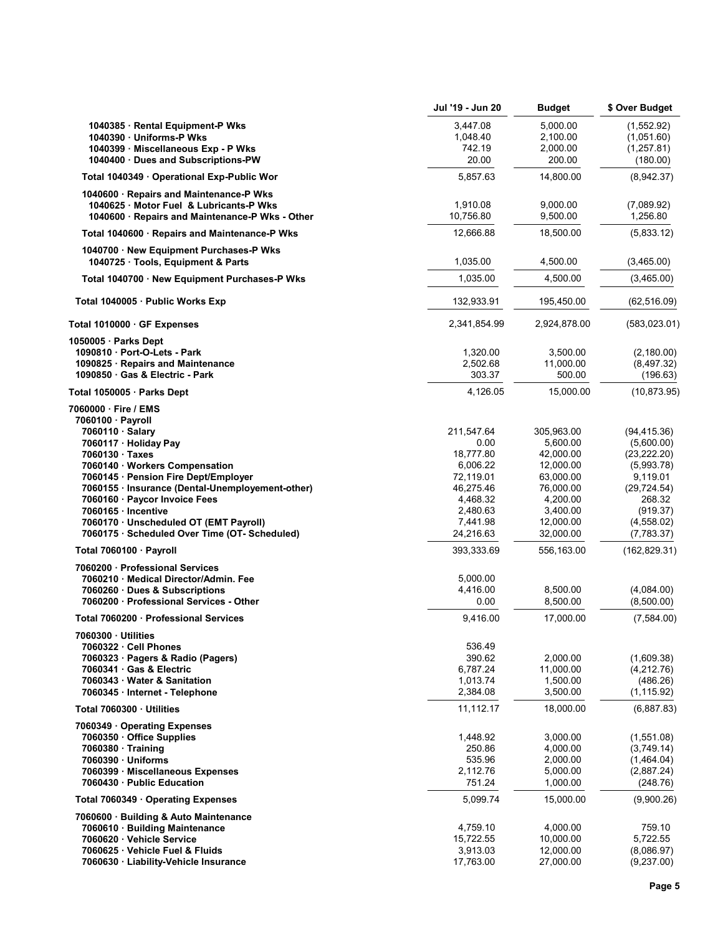|                                                                             | Jul '19 - Jun 20 | <b>Budget</b> | \$ Over Budget |
|-----------------------------------------------------------------------------|------------------|---------------|----------------|
| 1040385 · Rental Equipment-P Wks                                            | 3,447.08         | 5,000.00      | (1,552.92)     |
| 1040390 · Uniforms-P Wks                                                    | 1,048.40         | 2,100.00      | (1,051.60)     |
| 1040399 · Miscellaneous Exp - P Wks                                         | 742.19           | 2,000.00      | (1, 257.81)    |
| 1040400 Dues and Subscriptions-PW                                           | 20.00            | 200.00        | (180.00)       |
| Total 1040349 · Operational Exp-Public Wor                                  | 5,857.63         | 14,800.00     | (8,942.37)     |
| 1040600 · Repairs and Maintenance-P Wks                                     |                  |               |                |
| 1040625 Motor Fuel & Lubricants-P Wks                                       | 1,910.08         | 9,000.00      | (7,089.92)     |
| 1040600 · Repairs and Maintenance-P Wks - Other                             | 10,756.80        | 9,500.00      | 1,256.80       |
| Total 1040600 · Repairs and Maintenance-P Wks                               | 12,666.88        | 18,500.00     | (5,833.12)     |
|                                                                             |                  |               |                |
| 1040700 New Equipment Purchases-P Wks<br>1040725 · Tools, Equipment & Parts | 1,035.00         | 4,500.00      | (3,465.00)     |
| Total 1040700 · New Equipment Purchases-P Wks                               | 1,035.00         | 4,500.00      | (3,465.00)     |
| Total 1040005 · Public Works Exp                                            | 132,933.91       | 195,450.00    | (62, 516.09)   |
| Total 1010000 GF Expenses                                                   | 2,341,854.99     | 2,924,878.00  | (583, 023.01)  |
| $1050005 \cdot$ Parks Dept                                                  |                  |               |                |
| 1090810 Port-O-Lets - Park                                                  | 1,320.00         | 3,500.00      | (2,180.00)     |
| 1090825 · Repairs and Maintenance                                           | 2,502.68         | 11,000.00     | (8,497.32)     |
| 1090850 Gas & Electric - Park                                               | 303.37           | 500.00        | (196.63)       |
| Total 1050005 · Parks Dept                                                  | 4,126.05         | 15,000.00     | (10, 873.95)   |
| 7060000 Fire / EMS                                                          |                  |               |                |
| 7060100 · Payroll                                                           |                  |               |                |
| 7060110 · Salary                                                            | 211,547.64       | 305,963.00    | (94, 415.36)   |
| 7060117 · Holiday Pay                                                       | 0.00             | 5,600.00      | (5,600.00)     |
| 7060130 Taxes                                                               | 18,777.80        | 42,000.00     | (23, 222.20)   |
| 7060140 · Workers Compensation                                              | 6,006.22         | 12,000.00     | (5,993.78)     |
| 7060145 · Pension Fire Dept/Employer                                        | 72,119.01        | 63,000.00     | 9,119.01       |
| 7060155 · Insurance (Dental-Unemployement-other)                            | 46,275.46        | 76,000.00     | (29, 724.54)   |
| 7060160 · Paycor Invoice Fees                                               | 4,468.32         | 4,200.00      | 268.32         |
| 7060165 · Incentive                                                         | 2,480.63         | 3,400.00      | (919.37)       |
| 7060170 · Unscheduled OT (EMT Payroll)                                      | 7,441.98         | 12,000.00     | (4, 558.02)    |
| 7060175 · Scheduled Over Time (OT- Scheduled)                               | 24,216.63        | 32,000.00     | (7,783.37)     |
| Total 7060100 · Payroll                                                     | 393,333.69       | 556,163.00    | (162, 829.31)  |
| 7060200 · Professional Services                                             |                  |               |                |
| 7060210 · Medical Director/Admin. Fee                                       | 5,000.00         |               |                |
| 7060260 Dues & Subscriptions                                                | 4,416.00         | 8,500.00      | (4,084.00)     |
| 7060200 · Professional Services - Other                                     | 0.00             | 8,500.00      | (8,500.00)     |
| Total 7060200 · Professional Services                                       | 9,416.00         | 17,000.00     | (7,584.00)     |
| 7060300 · Utilities                                                         |                  |               |                |
| 7060322 Cell Phones                                                         | 536.49           |               |                |
| 7060323 · Pagers & Radio (Pagers)                                           | 390.62           | 2,000.00      | (1,609.38)     |
| 7060341 Gas & Electric                                                      | 6,787.24         | 11,000.00     | (4,212.76)     |
| 7060343 Water & Sanitation                                                  | 1,013.74         | 1,500.00      | (486.26)       |
| 7060345 · Internet - Telephone                                              | 2,384.08         | 3,500.00      | (1, 115.92)    |
| Total 7060300 Utilities                                                     | 11,112.17        | 18,000.00     | (6,887.83)     |
| 7060349 Operating Expenses                                                  |                  |               |                |
| 7060350 Office Supplies                                                     | 1,448.92         | 3,000.00      | (1,551.08)     |
| 7060380 Training                                                            | 250.86           | 4,000.00      | (3,749.14)     |
| 7060390 · Uniforms                                                          | 535.96           | 2,000.00      | (1,464.04)     |
| 7060399 · Miscellaneous Expenses                                            | 2,112.76         | 5,000.00      | (2,887.24)     |
| 7060430 Public Education                                                    | 751.24           | 1,000.00      | (248.76)       |
| Total 7060349 Operating Expenses                                            | 5,099.74         | 15,000.00     | (9,900.26)     |
| 7060600 · Building & Auto Maintenance                                       |                  |               |                |
| 7060610 · Building Maintenance                                              | 4,759.10         | 4,000.00      | 759.10         |
| 7060620 Vehicle Service                                                     | 15,722.55        | 10,000.00     | 5,722.55       |
| 7060625 · Vehicle Fuel & Fluids                                             | 3,913.03         | 12,000.00     | (8,086.97)     |
| 7060630 · Liability-Vehicle Insurance                                       | 17,763.00        | 27,000.00     | (9,237.00)     |